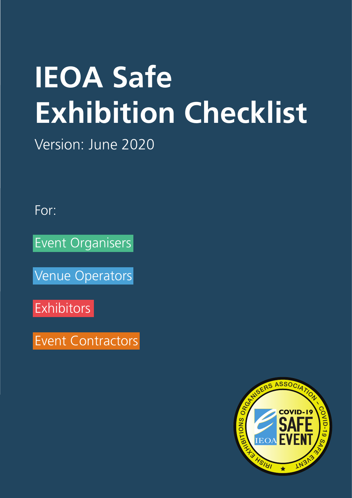# **IEOA Safe Exhibition Checklist**

Version: June 2020

For:

Event Organisers

Venue Operators

Exhibitors

Event Contractors

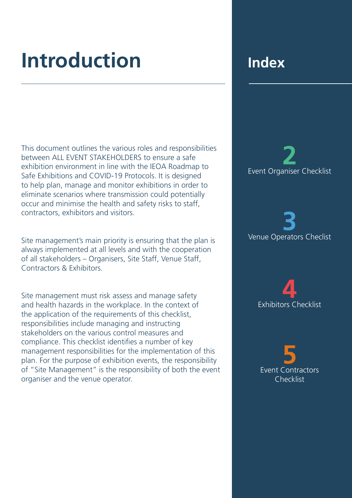# **Introduction Index**

This document outlines the various roles and responsibilities between ALL EVENT STAKEHOLDERS to ensure a safe exhibition environment in line with the IEOA Roadmap to Safe Exhibitions and COVID-19 Protocols. It is designed to help plan, manage and monitor exhibitions in order to eliminate scenarios where transmission could potentially occur and minimise the health and safety risks to staff, contractors, exhibitors and visitors.

Site management's main priority is ensuring that the plan is always implemented at all levels and with the cooperation of all stakeholders – Organisers, Site Staff, Venue Staff, Contractors & Exhibitors.

Site management must risk assess and manage safety and health hazards in the workplace. In the context of the application of the requirements of this checklist, responsibilities include managing and instructing stakeholders on the various control measures and compliance. This checklist identifies a number of key management responsibilities for the implementation of this plan. For the purpose of exhibition events, the responsibility of "Site Management" is the responsibility of both the event organiser and the venue operator.

**2** Event Organiser Checklist

**3** Venue Operators Checlist

**4** Exhibitors Checklist

**5**  Event Contractors Checklist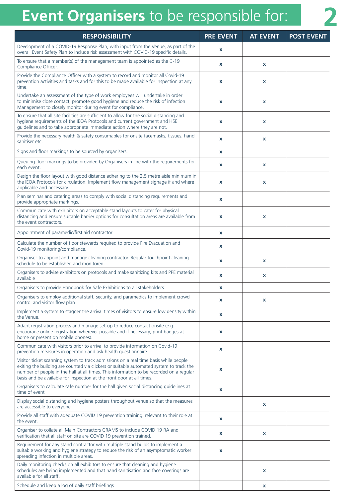## **Event Organisers** to be responsible for: **2**

| <b>RESPONSIBILITY</b>                                                                                                                                                                                                                                                                                                                               | <b>POST EVENT</b><br><b>PRE EVENT</b><br><b>AT EVENT</b> |              |  |
|-----------------------------------------------------------------------------------------------------------------------------------------------------------------------------------------------------------------------------------------------------------------------------------------------------------------------------------------------------|----------------------------------------------------------|--------------|--|
| Development of a COVID-19 Response Plan, with input from the Venue, as part of the<br>overall Event Safety Plan to include risk assessment with COVID-19 specific details.                                                                                                                                                                          | $\boldsymbol{\mathsf{x}}$                                |              |  |
| To ensure that a member(s) of the management team is appointed as the C-19<br>Compliance Officer.                                                                                                                                                                                                                                                   | X                                                        | x            |  |
| Provide the Compliance Officer with a system to record and monitor all Covid-19<br>prevention activities and tasks and for this to be made available for inspection at any<br>time.                                                                                                                                                                 | X                                                        | X            |  |
| Undertake an assessment of the type of work employees will undertake in order<br>to minimise close contact, promote good hygiene and reduce the risk of infection.<br>Management to closely monitor during event for compliance.                                                                                                                    | $\boldsymbol{\mathsf{x}}$                                | $\mathbf x$  |  |
| To ensure that all site facilities are sufficient to allow for the social distancing and<br>hygiene requirements of the IEOA Protocols and current government and HSE<br>guidelines and to take appropriate immediate action where they are not.                                                                                                    | $\boldsymbol{\mathsf{x}}$                                | $\mathbf x$  |  |
| Provide the necessary health & safety consumables for onsite facemasks, tissues, hand<br>sanitiser etc.                                                                                                                                                                                                                                             | $\boldsymbol{\mathsf{x}}$                                | $\mathbf x$  |  |
| Signs and floor markings to be sourced by organisers.                                                                                                                                                                                                                                                                                               | $\boldsymbol{\mathsf{x}}$                                |              |  |
| Queuing floor markings to be provided by Organisers in line with the requirements for<br>each event.                                                                                                                                                                                                                                                | $\mathbf x$                                              | $\pmb{\chi}$ |  |
| Design the floor layout with good distance adhering to the 2.5 metre aisle minimum in<br>the IEOA Protocols for circulation. Implement flow management signage if and where<br>applicable and necessary.                                                                                                                                            | X                                                        | x            |  |
| Plan seminar and catering areas to comply with social distancing requirements and<br>provide appropriate markings.                                                                                                                                                                                                                                  | X                                                        |              |  |
| Communicate with exhibitors on acceptable stand layouts to cater for physical<br>distancing and ensure suitable barrier options for consultation areas are available from<br>the event contractors.                                                                                                                                                 | $\boldsymbol{\mathsf{x}}$                                | $\mathbf x$  |  |
| Appointment of paramedic/first aid contractor                                                                                                                                                                                                                                                                                                       | $\mathbf x$                                              |              |  |
| Calculate the number of floor stewards required to provide Fire Evacuation and<br>Covid-19 monitoring/compliance.                                                                                                                                                                                                                                   | $\boldsymbol{\mathsf{x}}$                                |              |  |
| Organiser to appoint and manage cleaning contractor. Regular touchpoint cleaning<br>schedule to be established and monitored.                                                                                                                                                                                                                       | X                                                        | x            |  |
| Organisers to advise exhibitors on protocols and make sanitizing kits and PPE material<br>available                                                                                                                                                                                                                                                 | $\boldsymbol{\mathsf{x}}$                                | x            |  |
| Organisers to provide Handbook for Safe Exhibitions to all stakeholders                                                                                                                                                                                                                                                                             | X                                                        |              |  |
| Organisers to employ additional staff, security, and paramedics to implement crowd<br>control and visitor flow plan                                                                                                                                                                                                                                 | X                                                        | x            |  |
| Implement a system to stagger the arrival times of visitors to ensure low density within<br>the Venue.                                                                                                                                                                                                                                              | X                                                        |              |  |
| Adapt registration process and manage set-up to reduce contact onsite (e.g.<br>encourage online registration wherever possible and if necessary; print badges at<br>home or present on mobile phones).                                                                                                                                              | X                                                        |              |  |
| Communicate with visitors prior to arrival to provide information on Covid-19<br>prevention measures in operation and ask health questionnaire                                                                                                                                                                                                      | X                                                        |              |  |
| Visitor ticket scanning system to track admissions on a real time basis while people<br>exiting the building are counted via clickers or suitable automated system to track the<br>number of people in the hall at all times. This information to be recorded on a regular<br>basis and be available for inspection at the front door at all times. | X                                                        |              |  |
| Organisers to calculate safe number for the hall given social distancing guidelines at<br>time of event                                                                                                                                                                                                                                             | X                                                        |              |  |
| Display social distancing and hygiene posters throughout venue so that the measures<br>are accessible to everyone                                                                                                                                                                                                                                   |                                                          | $\mathbf x$  |  |
| Provide all staff with adequate COVID 19 prevention training, relevant to their role at<br>the event.                                                                                                                                                                                                                                               | X                                                        |              |  |
| Organiser to collate all Main Contractors CRAMS to include COVID 19 RA and<br>verification that all staff on site are COVID 19 prevention trained.                                                                                                                                                                                                  | X                                                        | x            |  |
| Requirement for any stand contractor with multiple stand builds to implement a<br>suitable working and hygiene strategy to reduce the risk of an asymptomatic worker<br>spreading infection in multiple areas.                                                                                                                                      | X                                                        |              |  |
| Daily monitoring checks on all exhibitors to ensure that cleaning and hygiene<br>schedules are being implemented and that hand sanitisation and face coverings are<br>available for all staff.                                                                                                                                                      |                                                          | $\mathbf x$  |  |
| Schedule and keep a log of daily staff briefings                                                                                                                                                                                                                                                                                                    |                                                          | x            |  |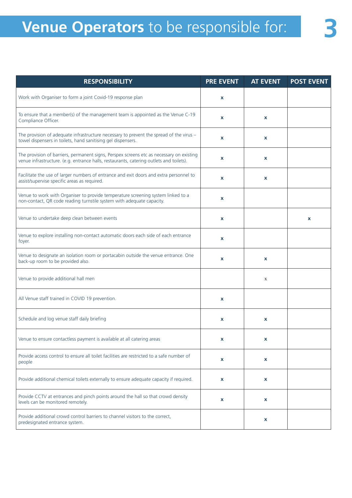| <b>RESPONSIBILITY</b>                                                                                                                                                               | <b>PRE EVENT</b> | <b>AT EVENT</b> | <b>POST EVENT</b> |
|-------------------------------------------------------------------------------------------------------------------------------------------------------------------------------------|------------------|-----------------|-------------------|
| Work with Organiser to form a joint Covid-19 response plan                                                                                                                          | x                |                 |                   |
| To ensure that a member(s) of the management team is appointed as the Venue C-19<br>Compliance Officer.                                                                             | X                | x               |                   |
| The provision of adequate infrastructure necessary to prevent the spread of the virus -<br>towel dispensers in toilets, hand sanitising gel dispensers.                             | x                | x               |                   |
| The provision of barriers, permanent signs, Perspex screens etc as necessary on existing<br>venue infrastructure. (e.g. entrance halls, restaurants, catering outlets and toilets). | x                | x               |                   |
| Facilitate the use of larger numbers of entrance and exit doors and extra personnel to<br>assist/supervise specific areas as required.                                              | X                | x               |                   |
| Venue to work with Organiser to provide temperature screening system linked to a<br>non-contact, QR code reading turnstile system with adequate capacity.                           | x                |                 |                   |
| Venue to undertake deep clean between events                                                                                                                                        | x                |                 | x                 |
| Venue to explore installing non-contact automatic doors each side of each entrance<br>foyer.                                                                                        | x                |                 |                   |
| Venue to designate an isolation room or portacabin outside the venue entrance. One<br>back-up room to be provided also.                                                             | x                | x               |                   |
| Venue to provide additional hall men                                                                                                                                                |                  | $\mathbf X$     |                   |
| All Venue staff trained in COVID 19 prevention.                                                                                                                                     | x                |                 |                   |
| Schedule and log venue staff daily briefing                                                                                                                                         | X                | x               |                   |
| Venue to ensure contactless payment is available at all catering areas                                                                                                              | x.               | x               |                   |
| Provide access control to ensure all toilet facilities are restricted to a safe number of<br>people                                                                                 | $\pmb{\chi}$     | X               |                   |
| Provide additional chemical toilets externally to ensure adequate capacity if required.                                                                                             | X                | X               |                   |
| Provide CCTV at entrances and pinch points around the hall so that crowd density<br>levels can be monitored remotely.                                                               | x                | x               |                   |
| Provide additional crowd control barriers to channel visitors to the correct,<br>predesignated entrance system.                                                                     |                  | х               |                   |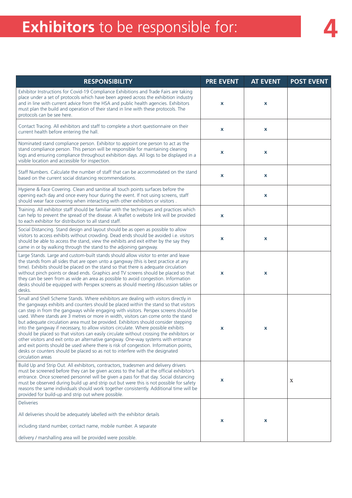## **Exhibitors** to be responsible for: **4**

| <b>RESPONSIBILITY</b>                                                                                                                                                                                                                                                                                                                                                                                                                                                                                                                                                                                                                                                                                                                                                                                                                                                                                                         | <b>PRE EVENT</b> | <b>AT EVENT</b> | <b>POST EVENT</b> |
|-------------------------------------------------------------------------------------------------------------------------------------------------------------------------------------------------------------------------------------------------------------------------------------------------------------------------------------------------------------------------------------------------------------------------------------------------------------------------------------------------------------------------------------------------------------------------------------------------------------------------------------------------------------------------------------------------------------------------------------------------------------------------------------------------------------------------------------------------------------------------------------------------------------------------------|------------------|-----------------|-------------------|
| Exhibitor Instructions for Covid-19 Compliance Exhibitions and Trade Fairs are taking<br>place under a set of protocols which have been agreed across the exhibition industry<br>and in line with current advice from the HSA and public health agencies. Exhibitors<br>must plan the build and operation of their stand in line with these protocols. The<br>protocols can be see here.                                                                                                                                                                                                                                                                                                                                                                                                                                                                                                                                      | X                | X               |                   |
| Contact Tracing. All exhibitors and staff to complete a short questionnaire on their<br>current health before entering the hall.                                                                                                                                                                                                                                                                                                                                                                                                                                                                                                                                                                                                                                                                                                                                                                                              | X                | X               |                   |
| Nominated stand compliance person. Exhibitor to appoint one person to act as the<br>stand compliance person. This person will be responsible for maintaining cleaning<br>logs and ensuring compliance throughout exhibition days. All logs to be displayed in a<br>visible location and accessible for inspection.                                                                                                                                                                                                                                                                                                                                                                                                                                                                                                                                                                                                            | x                | X               |                   |
| Staff Numbers. Calculate the number of staff that can be accommodated on the stand<br>based on the current social distancing recommendations.                                                                                                                                                                                                                                                                                                                                                                                                                                                                                                                                                                                                                                                                                                                                                                                 | X                | X               |                   |
| Hygiene & Face Covering. Clean and sanitise all touch points surfaces before the<br>opening each day and once every hour during the event. If not using screens, staff<br>should wear face covering when interacting with other exhibitors or visitors.                                                                                                                                                                                                                                                                                                                                                                                                                                                                                                                                                                                                                                                                       |                  | X               |                   |
| Training. All exhibitor staff should be familiar with the techniques and practices which<br>can help to prevent the spread of the disease. A leaflet o website link will be provided<br>to each exhibitor for distribution to all stand staff.                                                                                                                                                                                                                                                                                                                                                                                                                                                                                                                                                                                                                                                                                | x                |                 |                   |
| Social Distancing. Stand design and layout should be as open as possible to allow<br>visitors to access exhibits without crowding. Dead ends should be avoided i.e. visitors<br>should be able to access the stand, view the exhibits and exit either by the say they<br>came in or by walking through the stand to the adjoining gangway.                                                                                                                                                                                                                                                                                                                                                                                                                                                                                                                                                                                    | x                | x               |                   |
| Large Stands. Large and custom-built stands should allow visitor to enter and leave<br>the stands from all sides that are open unto a gangway (this is best practice at any<br>time). Exhibits should be placed on the stand so that there is adequate circulation<br>without pinch points or dead ends. Graphics and TV screens should be placed so that<br>they can be seen from as wide an area as possible to avoid congestion. Information<br>desks should be equipped with Perspex screens as should meeting /discussion tables or<br>desks.                                                                                                                                                                                                                                                                                                                                                                            | X                | X               |                   |
| Small and Shell Scheme Stands. Where exhibitors are dealing with visitors directly in<br>the gangways exhibits and counters should be placed within the stand so that visitors<br>can step in from the gangways while engaging with visitors. Perspex screens should be<br>used. Where stands are 3 metres or more in width, visitors can come onto the stand<br>but adequate circulation area must be provided. Exhibitors should consider stepping<br>into the gangway if necessary, to allow visitors circulate. Where possible exhibits<br>should be placed so that visitors can easily circulate without crossing the exhibitors or<br>other visitors and exit onto an alternative gangway. One-way systems with entrance<br>and exit points should be used where there is risk of congestion. Information points,<br>desks or counters should be placed so as not to interfere with the designated<br>circulation areas | x                | X               |                   |
| Build Up and Strip Out. All exhibitors, contractors, tradesmen and delivery drivers<br>must be screened before they can be given access to the hall at the official exhibitor's<br>entrance. Once screened personnel will be given a pass for that day. Social distancing<br>must be observed during build up and strip out but were this is not possible for safety<br>reasons the same individuals should work together consistently. Additional time will be<br>provided for build-up and strip out where possible.                                                                                                                                                                                                                                                                                                                                                                                                        | x                |                 | X                 |
| <b>Deliveries</b>                                                                                                                                                                                                                                                                                                                                                                                                                                                                                                                                                                                                                                                                                                                                                                                                                                                                                                             |                  |                 |                   |
| All deliveries should be adequately labelled with the exhibitor details                                                                                                                                                                                                                                                                                                                                                                                                                                                                                                                                                                                                                                                                                                                                                                                                                                                       |                  |                 |                   |
| including stand number, contact name, mobile number. A separate                                                                                                                                                                                                                                                                                                                                                                                                                                                                                                                                                                                                                                                                                                                                                                                                                                                               | x                | X               |                   |
| delivery / marshalling area will be provided were possible.                                                                                                                                                                                                                                                                                                                                                                                                                                                                                                                                                                                                                                                                                                                                                                                                                                                                   |                  |                 |                   |